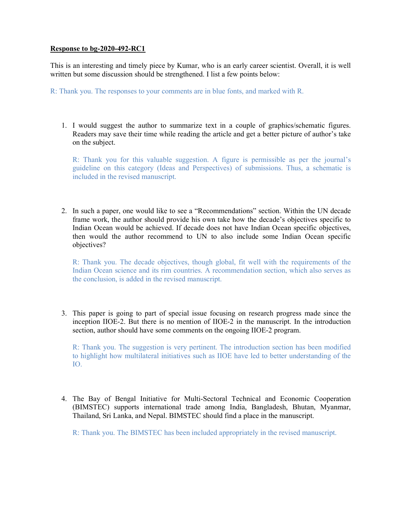## Response to bg-2020-492-RC1

This is an interesting and timely piece by Kumar, who is an early career scientist. Overall, it is well written but some discussion should be strengthened. I list a few points below:

R: Thank you. The responses to your comments are in blue fonts, and marked with R.

1. I would suggest the author to summarize text in a couple of graphics/schematic figures. Readers may save their time while reading the article and get a better picture of author's take on the subject.

R: Thank you for this valuable suggestion. A figure is permissible as per the journal's guideline on this category (Ideas and Perspectives) of submissions. Thus, a schematic is included in the revised manuscript.

2. In such a paper, one would like to see a "Recommendations" section. Within the UN decade frame work, the author should provide his own take how the decade's objectives specific to Indian Ocean would be achieved. If decade does not have Indian Ocean specific objectives, then would the author recommend to UN to also include some Indian Ocean specific objectives?

R: Thank you. The decade objectives, though global, fit well with the requirements of the Indian Ocean science and its rim countries. A recommendation section, which also serves as the conclusion, is added in the revised manuscript.

3. This paper is going to part of special issue focusing on research progress made since the inception IIOE-2. But there is no mention of IIOE-2 in the manuscript. In the introduction section, author should have some comments on the ongoing IIOE-2 program.

R: Thank you. The suggestion is very pertinent. The introduction section has been modified to highlight how multilateral initiatives such as IIOE have led to better understanding of the IO.

4. The Bay of Bengal Initiative for Multi-Sectoral Technical and Economic Cooperation (BIMSTEC) supports international trade among India, Bangladesh, Bhutan, Myanmar, Thailand, Sri Lanka, and Nepal. BIMSTEC should find a place in the manuscript.

R: Thank you. The BIMSTEC has been included appropriately in the revised manuscript.